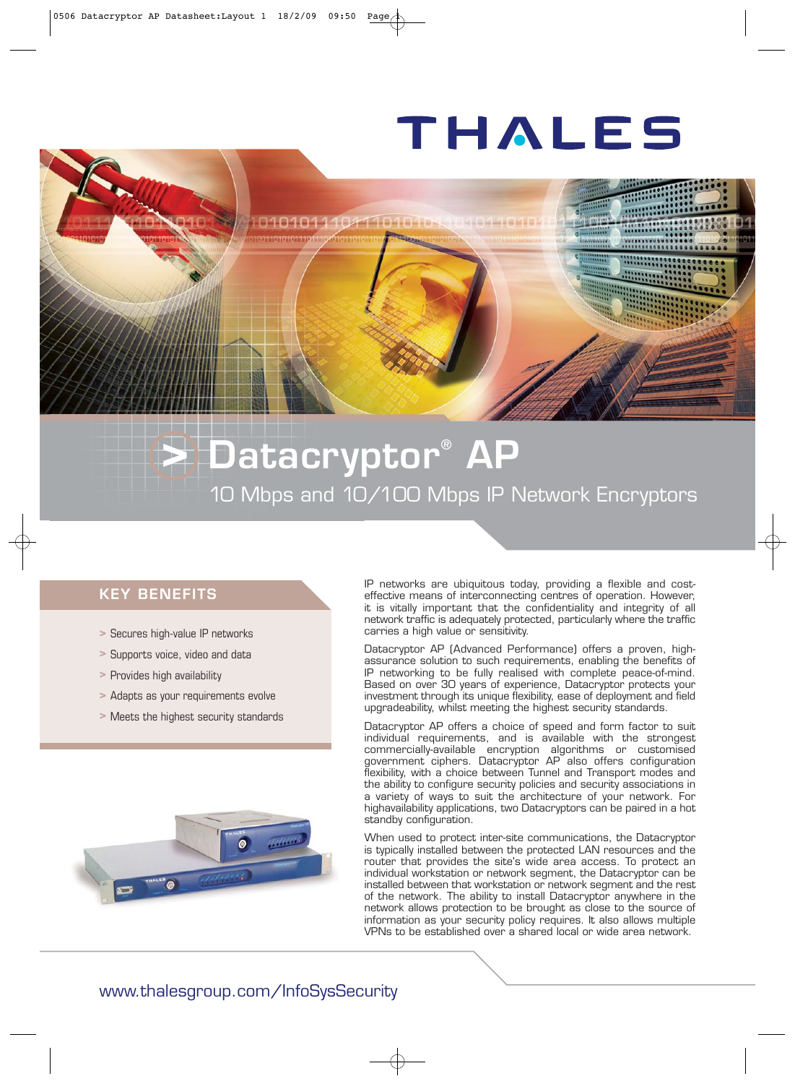# THALES

## **> Datacryptor® AP** 10 Mbps and 10/100 Mbps IP Network Encryptors

11010104 1010110101

### **KEY BENEFITS**

- **>** Secures high-value IP networks
- **>** Supports voice, video and data
- **>** Provides high availability
- **>** Adapts as your requirements evolve
- **>** Meets the highest security standards



IP networks are ubiquitous today, providing a flexible and costeffective means of interconnecting centres of operation. However, it is vitally important that the confidentiality and integrity of all network traffic is adequately protected, particularly where the traffic carries a high value or sensitivity.

Datacryptor AP (Advanced Performance) offers a proven, highassurance solution to such requirements, enabling the benefits of IP networking to be fully realised with complete peace-of-mind. Based on over 30 years of experience, Datacryptor protects your investment through its unique flexibility, ease of deployment and field upgradeability, whilst meeting the highest security standards.

Datacryptor AP offers a choice of speed and form factor to suit individual requirements, and is available with the strongest commercially-available encryption algorithms or customised government ciphers. Datacryptor AP also offers configuration flexibility, with a choice between Tunnel and Transport modes and the ability to configure security policies and security associations in a variety of ways to suit the architecture of your network. For highavailability applications, two Datacryptors can be paired in a hot standby configuration.

When used to protect inter-site communications, the Datacryptor is typically installed between the protected LAN resources and the router that provides the site's wide area access. To protect an individual workstation or network segment, the Datacryptor can be installed between that workstation or network segment and the rest of the network. The ability to install Datacryptor anywhere in the network allows protection to be brought as close to the source of information as your security policy requires. It also allows multiple VPNs to be established over a shared local or wide area network.